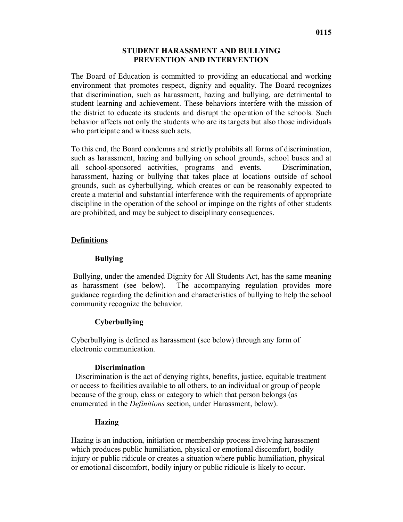## **STUDENT HARASSMENT AND BULLYING PREVENTION AND INTERVENTION**

The Board of Education is committed to providing an educational and working environment that promotes respect, dignity and equality. The Board recognizes that discrimination, such as harassment, hazing and bullying, are detrimental to student learning and achievement. These behaviors interfere with the mission of the district to educate its students and disrupt the operation of the schools. Such behavior affects not only the students who are its targets but also those individuals who participate and witness such acts.

To this end, the Board condemns and strictly prohibits all forms of discrimination, such as harassment, hazing and bullying on school grounds, school buses and at all school-sponsored activities, programs and events. Discrimination, harassment, hazing or bullying that takes place at locations outside of school grounds, such as cyberbullying, which creates or can be reasonably expected to create a material and substantial interference with the requirements of appropriate discipline in the operation of the school or impinge on the rights of other students are prohibited, and may be subject to disciplinary consequences.

# **Definitions**

## **Bullying**

Bullying, under the amended Dignity for All Students Act, has the same meaning as harassment (see below). The accompanying regulation provides more guidance regarding the definition and characteristics of bullying to help the school community recognize the behavior.

# **Cyberbullying**

Cyberbullying is defined as harassment (see below) through any form of electronic communication.

# **Discrimination**

 Discrimination is the act of denying rights, benefits, justice, equitable treatment or access to facilities available to all others, to an individual or group of people because of the group, class or category to which that person belongs (as enumerated in the *Definitions* section, under Harassment, below).

# **Hazing**

Hazing is an induction, initiation or membership process involving harassment which produces public humiliation, physical or emotional discomfort, bodily injury or public ridicule or creates a situation where public humiliation, physical or emotional discomfort, bodily injury or public ridicule is likely to occur.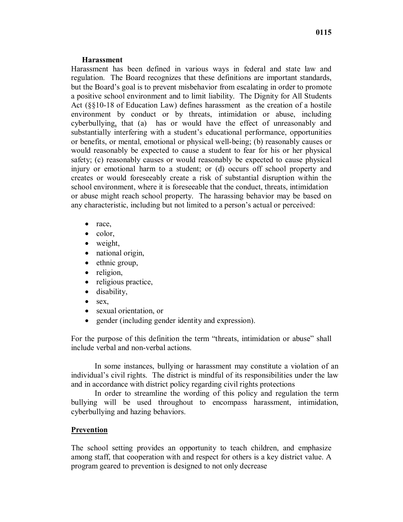#### **Harassment**

Harassment has been defined in various ways in federal and state law and regulation. The Board recognizes that these definitions are important standards, but the Board's goal is to prevent misbehavior from escalating in order to promote a positive school environment and to limit liability. The Dignity for All Students Act (§§10-18 of Education Law) defines harassment as the creation of a hostile environment by conduct or by threats, intimidation or abuse, including cyberbullying, that (a) has or would have the effect of unreasonably and substantially interfering with a student's educational performance, opportunities or benefits, or mental, emotional or physical well-being; (b) reasonably causes or would reasonably be expected to cause a student to fear for his or her physical safety; (c) reasonably causes or would reasonably be expected to cause physical injury or emotional harm to a student; or (d) occurs off school property and creates or would foreseeably create a risk of substantial disruption within the school environment, where it is foreseeable that the conduct, threats, intimidation or abuse might reach school property. The harassing behavior may be based on any characteristic, including but not limited to a person's actual or perceived:

- race,
- color,
- weight,
- national origin,
- ethnic group,
- religion,
- religious practice,
- disability,
- $•$  sex,
- sexual orientation, or
- gender (including gender identity and expression).

For the purpose of this definition the term "threats, intimidation or abuse" shall include verbal and non-verbal actions.

In some instances, bullying or harassment may constitute a violation of an individual's civil rights. The district is mindful of its responsibilities under the law and in accordance with district policy regarding civil rights protections

In order to streamline the wording of this policy and regulation the term bullying will be used throughout to encompass harassment, intimidation, cyberbullying and hazing behaviors.

### **Prevention**

The school setting provides an opportunity to teach children, and emphasize among staff, that cooperation with and respect for others is a key district value. A program geared to prevention is designed to not only decrease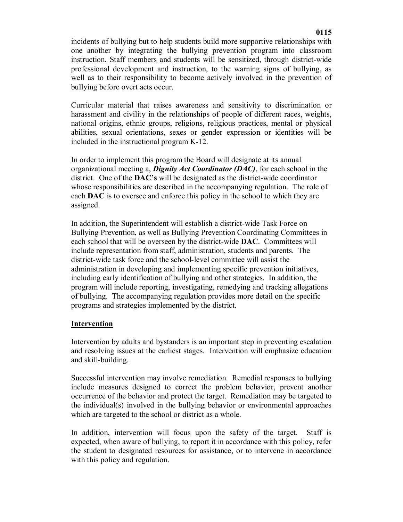incidents of bullying but to help students build more supportive relationships with one another by integrating the bullying prevention program into classroom instruction. Staff members and students will be sensitized, through district-wide professional development and instruction, to the warning signs of bullying, as well as to their responsibility to become actively involved in the prevention of bullying before overt acts occur.

Curricular material that raises awareness and sensitivity to discrimination or harassment and civility in the relationships of people of different races, weights, national origins, ethnic groups, religions, religious practices, mental or physical abilities, sexual orientations, sexes or gender expression or identities will be included in the instructional program K-12.

In order to implement this program the Board will designate at its annual organizational meeting a, *Dignity Act Coordinator (DAC)*, for each school in the district. One of the **DAC's** will be designated as the district-wide coordinator whose responsibilities are described in the accompanying regulation. The role of each **DAC** is to oversee and enforce this policy in the school to which they are assigned.

In addition, the Superintendent will establish a district-wide Task Force on Bullying Prevention, as well as Bullying Prevention Coordinating Committees in each school that will be overseen by the district-wide **DAC**. Committees will include representation from staff, administration, students and parents. The district-wide task force and the school-level committee will assist the administration in developing and implementing specific prevention initiatives, including early identification of bullying and other strategies. In addition, the program will include reporting, investigating, remedying and tracking allegations of bullying. The accompanying regulation provides more detail on the specific programs and strategies implemented by the district.

### **Intervention**

Intervention by adults and bystanders is an important step in preventing escalation and resolving issues at the earliest stages. Intervention will emphasize education and skill-building.

Successful intervention may involve remediation. Remedial responses to bullying include measures designed to correct the problem behavior, prevent another occurrence of the behavior and protect the target. Remediation may be targeted to the individual(s) involved in the bullying behavior or environmental approaches which are targeted to the school or district as a whole.

In addition, intervention will focus upon the safety of the target. Staff is expected, when aware of bullying, to report it in accordance with this policy, refer the student to designated resources for assistance, or to intervene in accordance with this policy and regulation.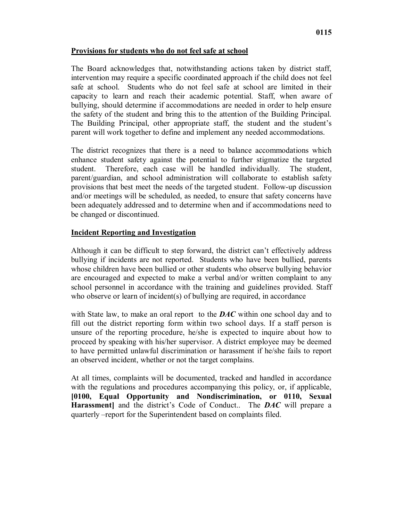## **Provisions for students who do not feel safe at school**

The Board acknowledges that, notwithstanding actions taken by district staff, intervention may require a specific coordinated approach if the child does not feel safe at school. Students who do not feel safe at school are limited in their capacity to learn and reach their academic potential. Staff, when aware of bullying, should determine if accommodations are needed in order to help ensure the safety of the student and bring this to the attention of the Building Principal. The Building Principal, other appropriate staff, the student and the student's parent will work together to define and implement any needed accommodations.

The district recognizes that there is a need to balance accommodations which enhance student safety against the potential to further stigmatize the targeted student. Therefore, each case will be handled individually. The student, parent/guardian, and school administration will collaborate to establish safety provisions that best meet the needs of the targeted student. Follow-up discussion and/or meetings will be scheduled, as needed, to ensure that safety concerns have been adequately addressed and to determine when and if accommodations need to be changed or discontinued.

## **Incident Reporting and Investigation**

Although it can be difficult to step forward, the district can't effectively address bullying if incidents are not reported. Students who have been bullied, parents whose children have been bullied or other students who observe bullying behavior are encouraged and expected to make a verbal and/or written complaint to any school personnel in accordance with the training and guidelines provided. Staff who observe or learn of incident(s) of bullying are required, in accordance

with State law, to make an oral report to the *DAC* within one school day and to fill out the district reporting form within two school days. If a staff person is unsure of the reporting procedure, he/she is expected to inquire about how to proceed by speaking with his/her supervisor. A district employee may be deemed to have permitted unlawful discrimination or harassment if he/she fails to report an observed incident, whether or not the target complains.

At all times, complaints will be documented, tracked and handled in accordance with the regulations and procedures accompanying this policy, or, if applicable, **[0100, Equal Opportunity and Nondiscrimination, or 0110, Sexual Harassment]** and the district's Code of Conduct.. The *DAC* will prepare a quarterly *–*report for the Superintendent based on complaints filed.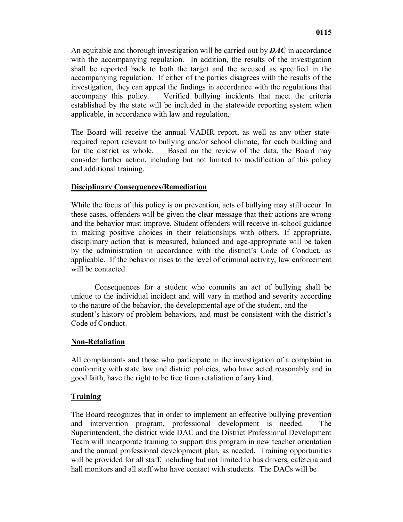An equitable and thorough investigation will be carried out by *DAC* in accordance with the accompanying regulation. In addition, the results of the investigation shall be reported back to both the target and the accused as specified in the accompanying regulation. If either of the parties disagrees with the results of the investigation, they can appeal the findings in accordance with the regulations that accompany this policy. Verified bullying incidents that meet the criteria established by the state will be included in the statewide reporting system when applicable, in accordance with law and regulation.

The Board will receive the annual VADIR report, as well as any other staterequired report relevant to bullying and/or school climate, for each building and for the district as whole. Based on the review of the data, the Board may consider further action, including but not limited to modification of this policy and additional training.

## **Disciplinary Consequences/Remediation**

While the focus of this policy is on prevention, acts of bullying may still occur. In these cases, offenders will be given the clear message that their actions are wrong and the behavior must improve. Student offenders will receive in-school guidance in making positive choices in their relationships with others. If appropriate, disciplinary action that is measured, balanced and age-appropriate will be taken by the administration in accordance with the district's Code of Conduct, as applicable. If the behavior rises to the level of criminal activity, law enforcement will be contacted.

Consequences for a student who commits an act of bullying shall be unique to the individual incident and will vary in method and severity according to the nature of the behavior, the developmental age of the student, and the student's history of problem behaviors, and must be consistent with the district's Code of Conduct.

### **Non-Retaliation**

All complainants and those who participate in the investigation of a complaint in conformity with state law and district policies, who have acted reasonably and in good faith, have the right to be free from retaliation of any kind.

# **Training**

The Board recognizes that in order to implement an effective bullying prevention and intervention program, professional development is needed. The Superintendent, the district wide DAC and the District Professional Development Team will incorporate training to support this program in new teacher orientation and the annual professional development plan, as needed. Training opportunities will be provided for all staff, including but not limited to bus drivers, cafeteria and hall monitors and all staff who have contact with students. The DACs will be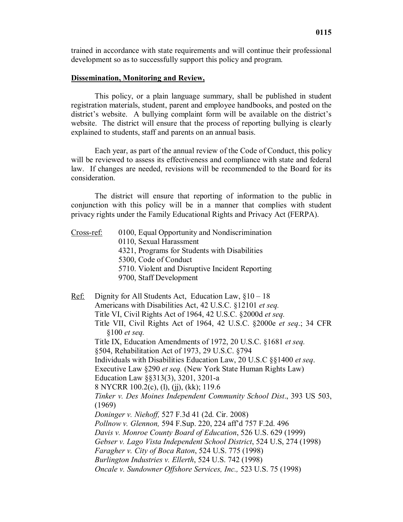trained in accordance with state requirements and will continue their professional development so as to successfully support this policy and program.

### **Dissemination, Monitoring and Review,**

This policy, or a plain language summary, shall be published in student registration materials, student, parent and employee handbooks, and posted on the district's website. A bullying complaint form will be available on the district's website. The district will ensure that the process of reporting bullying is clearly explained to students, staff and parents on an annual basis.

Each year, as part of the annual review of the Code of Conduct, this policy will be reviewed to assess its effectiveness and compliance with state and federal law. If changes are needed, revisions will be recommended to the Board for its consideration.

The district will ensure that reporting of information to the public in conjunction with this policy will be in a manner that complies with student privacy rights under the Family Educational Rights and Privacy Act (FERPA).

| Cross-ref:  | 0100, Equal Opportunity and Nondiscrimination<br>0110, Sexual Harassment<br>4321, Programs for Students with Disabilities<br>5300, Code of Conduct<br>5710. Violent and Disruptive Incident Reporting<br>9700, Staff Development                                                                                                                                                                                                                                                                                                                                                                                                                                                                                                                                                                                                                                                                                                                                                                                                         |
|-------------|------------------------------------------------------------------------------------------------------------------------------------------------------------------------------------------------------------------------------------------------------------------------------------------------------------------------------------------------------------------------------------------------------------------------------------------------------------------------------------------------------------------------------------------------------------------------------------------------------------------------------------------------------------------------------------------------------------------------------------------------------------------------------------------------------------------------------------------------------------------------------------------------------------------------------------------------------------------------------------------------------------------------------------------|
| <u>Ref:</u> | Dignity for All Students Act, Education Law, $§10 - 18$<br>Americans with Disabilities Act, 42 U.S.C. §12101 et seq.<br>Title VI, Civil Rights Act of 1964, 42 U.S.C. §2000d et seq.<br>Title VII, Civil Rights Act of 1964, 42 U.S.C. §2000e et seq.; 34 CFR<br>$§100$ et seq.<br>Title IX, Education Amendments of 1972, 20 U.S.C. §1681 et seq.<br>§504, Rehabilitation Act of 1973, 29 U.S.C. §794<br>Individuals with Disabilities Education Law, 20 U.S.C §§1400 et seq.<br>Executive Law §290 et seq. (New York State Human Rights Law)<br>Education Law §§313(3), 3201, 3201-a<br>8 NYCRR 100.2(c), (l), (j), (kk); 119.6<br>Tinker v. Des Moines Independent Community School Dist., 393 US 503,<br>(1969)<br>Doninger v. Niehoff, 527 F.3d 41 (2d. Cir. 2008)<br>Pollnow v. Glennon, 594 F.Sup. 220, 224 aff'd 757 F.2d. 496<br>Davis v. Monroe County Board of Education, 526 U.S. 629 (1999)<br>Gebser v. Lago Vista Independent School District, 524 U.S, 274 (1998)<br>Faragher v. City of Boca Raton, 524 U.S. 775 (1998) |
|             | Burlington Industries v. Ellerth, 524 U.S. 742 (1998)<br>Oncale v. Sundowner Offshore Services, Inc., 523 U.S. 75 (1998)                                                                                                                                                                                                                                                                                                                                                                                                                                                                                                                                                                                                                                                                                                                                                                                                                                                                                                                 |